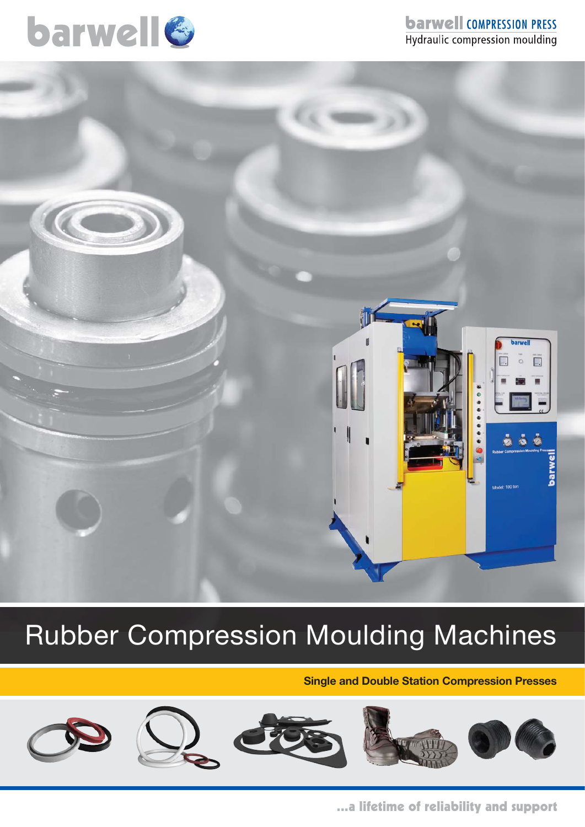

## **barwell COMPRESSION PRESS** Hydraulic compression moulding



# Rubber Compression Moulding Machines

**Single and Double Station Compression Presses**









...a lifetime of reliability and support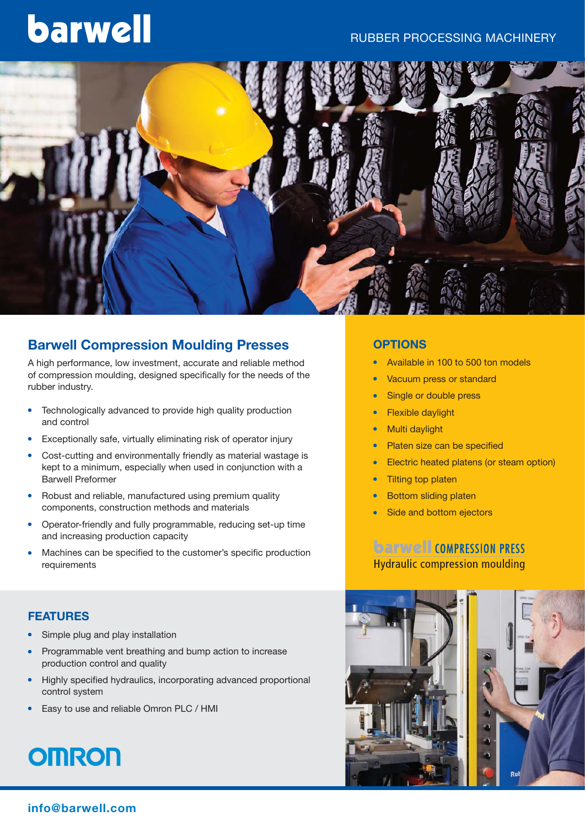#### RUBBER  PROCESSING MACHINERY

# barwell



### **Barwell Compression Moulding Presses**

A high performance, low investment, accurate and reliable method of compression moulding, designed specifically for the needs of the rubber industry.

- Technologically advanced to provide high quality production and control
- Exceptionally safe, virtually eliminating risk of operator injury
- Cost-cutting and environmentally friendly as material wastage is kept to a minimum, especially when used in conjunction with a Barwell Preformer
- Robust and reliable, manufactured using premium quality components, construction methods and materials
- Operator-friendly and fully programmable, reducing set-up time and increasing production capacity
- <sup>l</sup> Machines can be specified to the customer's specific production requirements

#### **FEATURES**

- Simple plug and play installation
- Programmable vent breathing and bump action to increase production control and quality
- Highly specified hydraulics, incorporating advanced proportional control system
- Easy to use and reliable Omron PLC / HMI

# **OMRON**

#### **OPTIONS**

- Available in 100 to 500 ton models
- Vacuum press or standard
- Single or double press
- **Flexible daylight**
- Multi daylight
- Platen size can be specified
- Electric heated platens (or steam option)
- **Tilting top platen**
- **Bottom sliding platen**
- Side and bottom ejectors

### **barwell COMPRESSION PRESS Hydraulic compression moulding**

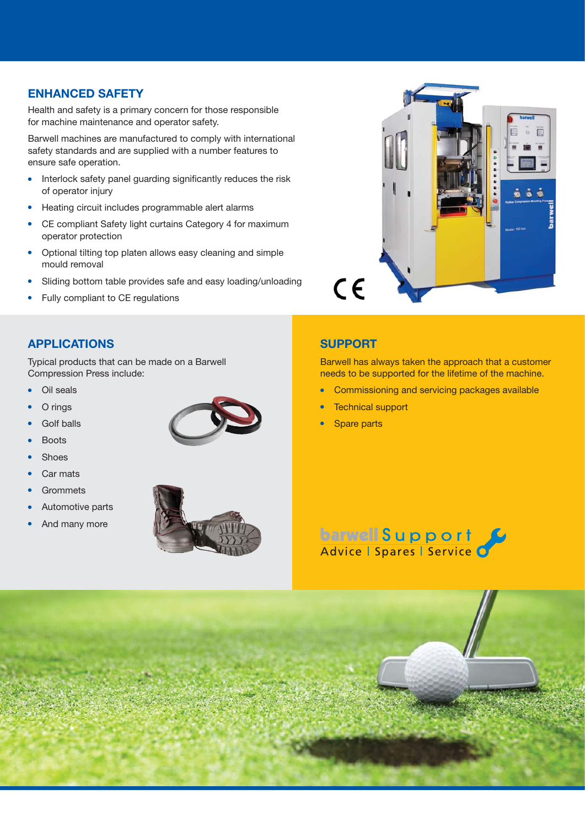#### **ENHANCED  SAFETY**

Health and safety is a primary concern for those responsible for machine maintenance and operator safety.

Barwell machines are manufactured to comply with international safety standards and are supplied with a number features to ensure safe operation.

- Interlock safety panel guarding significantly reduces the risk of operator injury
- Heating circuit includes programmable alert alarms
- CE compliant Safety light curtains Category 4 for maximum operator protection
- Optional tilting top platen allows easy cleaning and simple mould removal
- Sliding bottom table provides safe and easy loading/unloading
- Fully compliant to CE regulations



#### **APPLICATIONS**

Typical products that can be made on a Barwell Compression Press include:

- Oil seals
- O rings
- Golf balls



- Shoes
- Car mats
- **Grommets**
- Automotive parts
- And many more



### **SUPPORT**

Barwell has always taken the approach that a customer needs to be supported for the lifetime of the machine.

- Commissioning and servicing packages available
- **Technical support**
- **Spare parts**



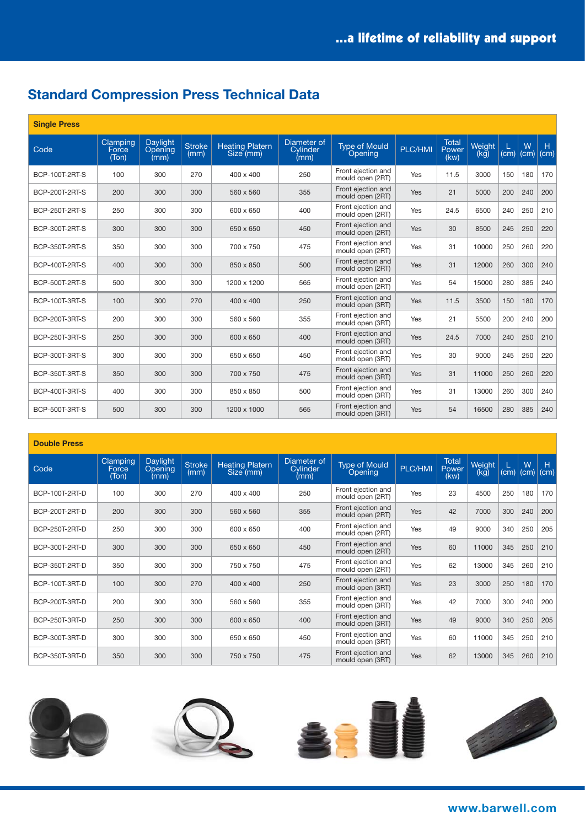# **Standard Compression Press Technical Data**

| <b>Single Press</b>   |                            |                             |                       |                                     |                                        |                                        |         |                               |                |      |           |           |
|-----------------------|----------------------------|-----------------------------|-----------------------|-------------------------------------|----------------------------------------|----------------------------------------|---------|-------------------------------|----------------|------|-----------|-----------|
| Code                  | Clamping<br>Force<br>(Ton) | Daylight<br>Opening<br>(mm) | <b>Stroke</b><br>(mm) | <b>Heating Platern</b><br>Size (mm) | Diameter of<br><b>Cylinder</b><br>(mm) | Type of Mould<br>Opening               | PLC/HMI | <b>Total</b><br>Power<br>(kw) | Weight<br>(kg) | (cm) | W<br>(cm) | H<br>(cm) |
| BCP-100T-2RT-S        | 100                        | 300                         | 270                   | 400 x 400                           | 250                                    | Front ejection and<br>mould open (2RT) | Yes     | 11.5                          | 3000           | 150  | 180       | 170       |
| BCP-200T-2RT-S        | 200                        | 300                         | 300                   | 560 x 560                           | 355                                    | Front ejection and<br>mould open (2RT) | Yes     | 21                            | 5000           | 200  | 240       | 200       |
| BCP-250T-2RT-S        | 250                        | 300                         | 300                   | 600 x 650                           | 400                                    | Front ejection and<br>mould open (2RT) | Yes     | 24.5                          | 6500           | 240  | 250       | 210       |
| BCP-300T-2RT-S        | 300                        | 300                         | 300                   | 650 x 650                           | 450                                    | Front ejection and<br>mould open (2RT) | Yes     | 30                            | 8500           | 245  | 250       | 220       |
| BCP-350T-2RT-S        | 350                        | 300                         | 300                   | 700 x 750                           | 475                                    | Front eiection and<br>mould open (2RT) | Yes     | 31                            | 10000          | 250  | 260       | 220       |
| BCP-400T-2RT-S        | 400                        | 300                         | 300                   | 850 x 850                           | 500                                    | Front ejection and<br>mould open (2RT) | Yes     | 31                            | 12000          | 260  | 300       | 240       |
| <b>BCP-500T-2RT-S</b> | 500                        | 300                         | 300                   | 1200 x 1200                         | 565                                    | Front ejection and<br>mould open (2RT) | Yes     | 54                            | 15000          | 280  | 385       | 240       |
| <b>BCP-100T-3RT-S</b> | 100                        | 300                         | 270                   | 400 x 400                           | 250                                    | Front ejection and<br>mould open (3RT) | Yes     | 11.5                          | 3500           | 150  | 180       | 170       |
| BCP-200T-3RT-S        | 200                        | 300                         | 300                   | 560 x 560                           | 355                                    | Front ejection and<br>mould open (3RT) | Yes     | 21                            | 5500           | 200  | 240       | 200       |
| BCP-250T-3RT-S        | 250                        | 300                         | 300                   | 600 x 650                           | 400                                    | Front ejection and<br>mould open (3RT) | Yes     | 24.5                          | 7000           | 240  | 250       | 210       |
| BCP-300T-3RT-S        | 300                        | 300                         | 300                   | 650 x 650                           | 450                                    | Front ejection and<br>mould open (3RT) | Yes     | 30                            | 9000           | 245  | 250       | 220       |
| BCP-350T-3RT-S        | 350                        | 300                         | 300                   | 700 x 750                           | 475                                    | Front ejection and<br>mould open (3RT) | Yes     | 31                            | 11000          | 250  | 260       | 220       |
| <b>BCP-400T-3RT-S</b> | 400                        | 300                         | 300                   | 850 x 850                           | 500                                    | Front ejection and<br>mould open (3RT) | Yes     | 31                            | 13000          | 260  | 300       | 240       |
| <b>BCP-500T-3RT-S</b> | 500                        | 300                         | 300                   | 1200 x 1000                         | 565                                    | Front ejection and<br>mould open (3RT) | Yes     | 54                            | 16500          | 280  | 385       | 240       |

#### **Double Press**

| Code           | <b>Clamping</b><br>Force<br>(Ton) | Daylight<br><b>Opening</b><br>(mm) | <b>Stroke</b><br>(mm) | <b>Heating Platern</b><br>Size (mm) | Diameter of<br>Cylinder<br>(mm) | <b>Type of Mould</b><br>Opening        | PLC/HMI    | <b>Total</b><br>Power<br>(kw) | Weight<br>(kg) | (cm) | W<br>(cm) | H<br>(cm) |
|----------------|-----------------------------------|------------------------------------|-----------------------|-------------------------------------|---------------------------------|----------------------------------------|------------|-------------------------------|----------------|------|-----------|-----------|
| BCP-100T-2RT-D | 100                               | 300                                | 270                   | 400 x 400                           | 250                             | Front ejection and<br>mould open (2RT) | Yes        | 23                            | 4500           | 250  | 180       | 170       |
| BCP-200T-2RT-D | 200                               | 300                                | 300                   | 560 x 560                           | 355                             | Front ejection and<br>mould open (2RT) | <b>Yes</b> | 42                            | 7000           | 300  | 240       | 200       |
| BCP-250T-2RT-D | 250                               | 300                                | 300                   | 600 x 650                           | 400                             | Front ejection and<br>mould open (2RT) | Yes        | 49                            | 9000           | 340  | 250       | 205       |
| BCP-300T-2RT-D | 300                               | 300                                | 300                   | 650 x 650                           | 450                             | Front ejection and<br>mould open (2RT) | Yes        | 60                            | 11000          | 345  | 250       | 210       |
| BCP-350T-2RT-D | 350                               | 300                                | 300                   | 750 x 750                           | 475                             | Front ejection and<br>mould open (2RT) | Yes        | 62                            | 13000          | 345  | 260       | 210       |
| BCP-100T-3RT-D | 100                               | 300                                | 270                   | 400 x 400                           | 250                             | Front ejection and<br>mould open (3RT) | Yes        | 23                            | 3000           | 250  | 180       | 170       |
| BCP-200T-3RT-D | 200                               | 300                                | 300                   | 560 x 560                           | 355                             | Front ejection and<br>mould open (3RT) | Yes        | 42                            | 7000           | 300  | 240       | 200       |
| BCP-250T-3RT-D | 250                               | 300                                | 300                   | 600 x 650                           | 400                             | Front ejection and<br>mould open (3RT) | Yes        | 49                            | 9000           | 340  | 250       | 205       |
| BCP-300T-3RT-D | 300                               | 300                                | 300                   | 650 x 650                           | 450                             | Front ejection and<br>mould open (3RT) | Yes        | 60                            | 11000          | 345  | 250       | 210       |
| BCP-350T-3RT-D | 350                               | 300                                | 300                   | 750 x 750                           | 475                             | Front ejection and<br>mould open (3RT) | Yes        | 62                            | 13000          | 345  | 260       | 210       |

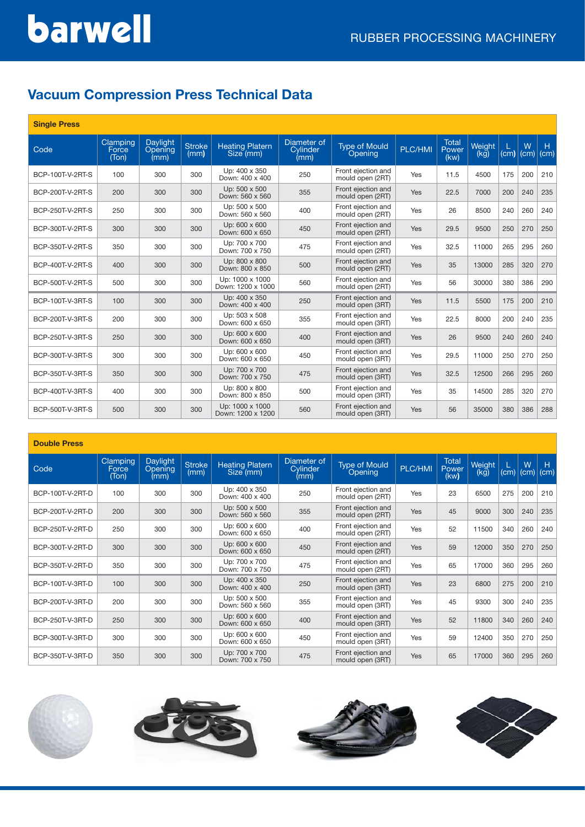# barwell

# **Vacuum Compression Press Technical Data**

| <b>Single Press</b> |                            |                             |                       |                                      |                                 |                                        |                |                               |                |      |           |           |
|---------------------|----------------------------|-----------------------------|-----------------------|--------------------------------------|---------------------------------|----------------------------------------|----------------|-------------------------------|----------------|------|-----------|-----------|
| Code                | Clamping<br>Force<br>(Ton) | Daylight<br>Opening<br>(mm) | <b>Stroke</b><br>(mm) | <b>Heating Platern</b><br>Size (mm)  | Diameter of<br>Cylinder<br>(mm) | <b>Type of Mould</b><br>Opening        | <b>PLC/HMI</b> | <b>Total</b><br>Power<br>(kw) | Weight<br>(kg) | (cm) | W<br>(cm) | H<br>(cm) |
| BCP-100T-V-2RT-S    | 100                        | 300                         | 300                   | Up: 400 x 350<br>Down: 400 x 400     | 250                             | Front ejection and<br>mould open (2RT) | Yes            | 11.5                          | 4500           | 175  | 200       | 210       |
| BCP-200T-V-2RT-S    | 200                        | 300                         | 300                   | Up: 500 x 500<br>Down: 560 x 560     | 355                             | Front ejection and<br>mould open (2RT) | Yes            | 22.5                          | 7000           | 200  | 240       | 235       |
| BCP-250T-V-2RT-S    | 250                        | 300                         | 300                   | Up: 500 x 500<br>Down: 560 x 560     | 400                             | Front ejection and<br>mould open (2RT) | Yes            | 26                            | 8500           | 240  | 260       | 240       |
| BCP-300T-V-2RT-S    | 300                        | 300                         | 300                   | Up: 600 x 600<br>Down: 600 x 650     | 450                             | Front ejection and<br>mould open (2RT) | Yes            | 29.5                          | 9500           | 250  | 270       | 250       |
| BCP-350T-V-2RT-S    | 350                        | 300                         | 300                   | Up: 700 x 700<br>Down: 700 x 750     | 475                             | Front ejection and<br>mould open (2RT) | Yes            | 32.5                          | 11000          | 265  | 295       | 260       |
| BCP-400T-V-2RT-S    | 400                        | 300                         | 300                   | Up: 800 x 800<br>Down: 800 x 850     | 500                             | Front ejection and<br>mould open (2RT) | Yes            | 35                            | 13000          | 285  | 320       | 270       |
| BCP-500T-V-2RT-S    | 500                        | 300                         | 300                   | Up: 1000 x 1000<br>Down: 1200 x 1000 | 560                             | Front ejection and<br>mould open (2RT) | Yes            | 56                            | 30000          | 380  | 386       | 290       |
| BCP-100T-V-3RT-S    | 100                        | 300                         | 300                   | Up: 400 x 350<br>Down: 400 x 400     | 250                             | Front ejection and<br>mould open (3RT) | Yes            | 11.5                          | 5500           | 175  | 200       | 210       |
| BCP-200T-V-3RT-S    | 200                        | 300                         | 300                   | Up: 503 x 508<br>Down: 600 x 650     | 355                             | Front ejection and<br>mould open (3RT) | Yes            | 22.5                          | 8000           | 200  | 240       | 235       |
| BCP-250T-V-3RT-S    | 250                        | 300                         | 300                   | Up: 600 x 600<br>Down: 600 x 650     | 400                             | Front ejection and<br>mould open (3RT) | Yes            | 26                            | 9500           | 240  | 260       | 240       |
| BCP-300T-V-3RT-S    | 300                        | 300                         | 300                   | Up: 600 x 600<br>Down: 600 x 650     | 450                             | Front ejection and<br>mould open (3RT) | Yes            | 29.5                          | 11000          | 250  | 270       | 250       |
| BCP-350T-V-3RT-S    | 350                        | 300                         | 300                   | Up: 700 x 700<br>Down: 700 x 750     | 475                             | Front ejection and<br>mould open (3RT) | Yes            | 32.5                          | 12500          | 266  | 295       | 260       |
| BCP-400T-V-3RT-S    | 400                        | 300                         | 300                   | Up: 800 x 800<br>Down: 800 x 850     | 500                             | Front ejection and<br>mould open (3RT) | Yes            | 35                            | 14500          | 285  | 320       | 270       |
| BCP-500T-V-3RT-S    | 500                        | 300                         | 300                   | Up: 1000 x 1000<br>Down: 1200 x 1200 | 560                             | Front ejection and<br>mould open (3RT) | Yes            | 56                            | 35000          | 380  | 386       | 288       |

#### **Double Press**

| Code             | Clamping<br>Force<br>(Ton) | Daylight<br>Opening<br>(mm) | <b>Stroke</b><br>(mm) | <b>Heating Platern</b><br>Size (mm) | Diameter of<br><b>Cylinder</b><br>(mm) | <b>Type of Mould</b><br>Opening        | PLC/HMI | <b>Total</b><br>Power<br>(kw) | Weight<br>(kg) | (cm) | W<br>(cm) | н<br>(cm) |
|------------------|----------------------------|-----------------------------|-----------------------|-------------------------------------|----------------------------------------|----------------------------------------|---------|-------------------------------|----------------|------|-----------|-----------|
| BCP-100T-V-2RT-D | 100                        | 300                         | 300                   | Up: 400 x 350<br>Down: 400 x 400    | 250                                    | Front ejection and<br>mould open (2RT) | Yes     | 23                            | 6500           | 275  | 200       | 210       |
| BCP-200T-V-2RT-D | 200                        | 300                         | 300                   | Up: 500 x 500<br>Down: 560 x 560    | 355                                    | Front ejection and<br>mould open (2RT) | Yes     | 45                            | 9000           | 300  | 240       | 235       |
| BCP-250T-V-2RT-D | 250                        | 300                         | 300                   | Up: 600 x 600<br>Down: 600 x 650    | 400                                    | Front ejection and<br>mould open (2RT) | Yes     | 52                            | 11500          | 340  | 260       | 240       |
| BCP-300T-V-2RT-D | 300                        | 300                         | 300                   | Up: 600 x 600<br>Down: 600 x 650    | 450                                    | Front ejection and<br>mould open (2RT) | Yes     | 59                            | 12000          | 350  | 270       | 250       |
| BCP-350T-V-2RT-D | 350                        | 300                         | 300                   | Up: 700 x 700<br>Down: 700 x 750    | 475                                    | Front ejection and<br>mould open (2RT) | Yes     | 65                            | 17000          | 360  | 295       | 260       |
| BCP-100T-V-3RT-D | 100                        | 300                         | 300                   | Up: 400 x 350<br>Down: 400 x 400    | 250                                    | Front ejection and<br>mould open (3RT) | Yes     | 23                            | 6800           | 275  | 200       | 210       |
| BCP-200T-V-3RT-D | 200                        | 300                         | 300                   | Up: 500 x 500<br>Down: 560 x 560    | 355                                    | Front ejection and<br>mould open (3RT) | Yes     | 45                            | 9300           | 300  | 240       | 235       |
| BCP-250T-V-3RT-D | 250                        | 300                         | 300                   | Up: 600 x 600<br>Down: 600 x 650    | 400                                    | Front ejection and<br>mould open (3RT) | Yes     | 52                            | 11800          | 340  | 260       | 240       |
| BCP-300T-V-3RT-D | 300                        | 300                         | 300                   | Up: 600 x 600<br>Down: 600 x 650    | 450                                    | Front ejection and<br>mould open (3RT) | Yes     | 59                            | 12400          | 350  | 270       | 250       |
| BCP-350T-V-3RT-D | 350                        | 300                         | 300                   | Up: 700 x 700<br>Down: 700 x 750    | 475                                    | Front ejection and<br>mould open (3RT) | Yes     | 65                            | 17000          | 360  | 295       | 260       |